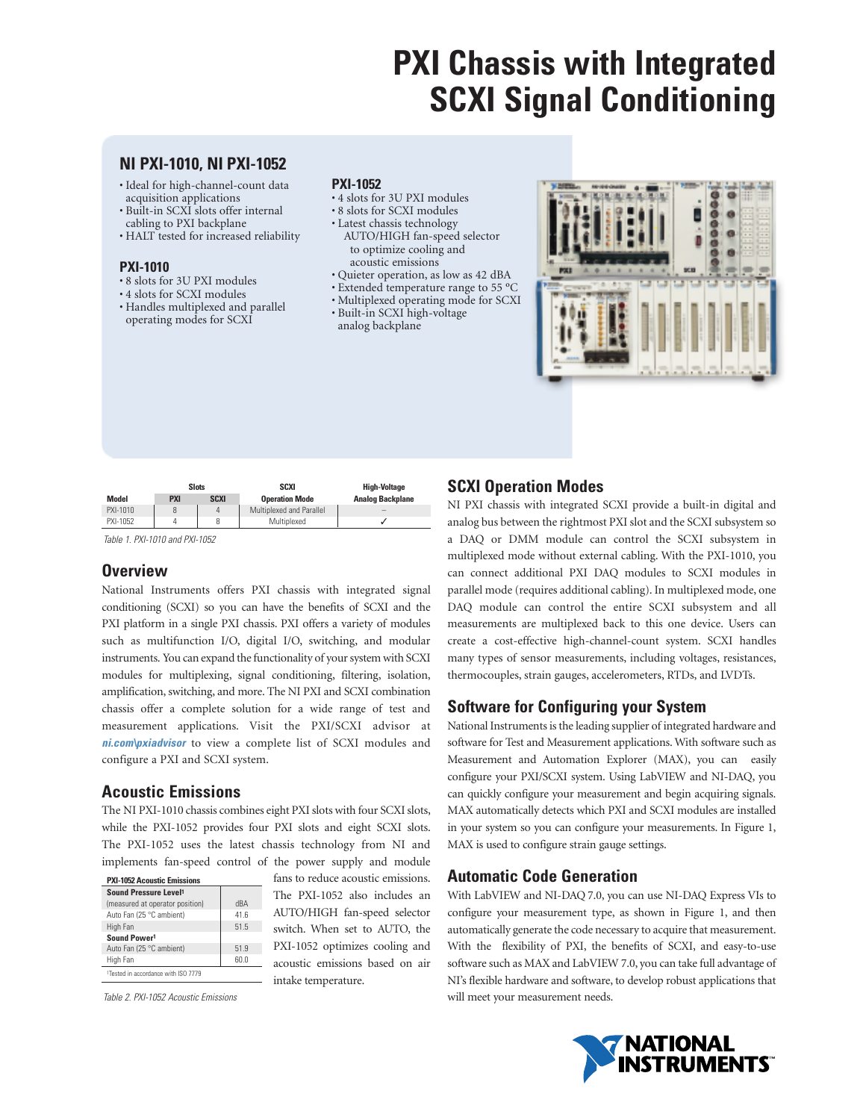## **NI PXI-1010, NI PXI-1052**

- Ideal for high-channel-count data acquisition applications
- Built-in SCXI slots offer internal cabling to PXI backplane
- HALT tested for increased reliability

### **PXI-1010**

- 8 slots for 3U PXI modules
- 4 slots for SCXI modules
- Handles multiplexed and parallel operating modes for SCXI

### **PXI-1052**

- 4 slots for 3U PXI modules
- 8 slots for SCXI modules
- Latest chassis technology AUTO/HIGH fan-speed selector to optimize cooling and acoustic emissions
- Quieter operation, as low as 42 dBA
- Extended temperature range to 55 ºC
- Multiplexed operating mode for SCXI
- Built-in SCXI high-voltage analog backplane

| <b>Nickel</b> |              |                 |                       |             |             | 昍<br>$-10 - 10$<br>$+ -$<br>٠<br>$\overline{a}$<br>$\overline{a}$<br>٠<br>$-11$<br>$\overline{a}$<br>٠<br>$-1$ | ---<br>щ<br>$11 - 12$<br><b>Sec. 20</b><br>$\overline{\phantom{a}}$<br>--<br>--<br>$1 - 1$<br><b>B</b> = =<br>$1 - 1$ |
|---------------|--------------|-----------------|-----------------------|-------------|-------------|----------------------------------------------------------------------------------------------------------------|-----------------------------------------------------------------------------------------------------------------------|
|               |              | ъ               |                       |             |             |                                                                                                                |                                                                                                                       |
|               |              | ٠<br>ĩ          | ٠<br>r<br>ı<br>٠<br>١ | ٠<br>٠<br>١ | ۱<br>٠<br>۱ | ٠                                                                                                              |                                                                                                                       |
|               | $8 - 36 + 8$ | $8 - 8 - 8 - 8$ |                       | ٠           | ٠           |                                                                                                                |                                                                                                                       |
|               |              |                 |                       |             |             |                                                                                                                |                                                                                                                       |

|          | <b>Slots</b> |             | SCXI                     | <b>High-Voltage</b>     |
|----------|--------------|-------------|--------------------------|-------------------------|
| Model    | <b>PXI</b>   | <b>SCXI</b> | <b>Operation Mode</b>    | <b>Analog Backplane</b> |
| PXI-1010 |              | 4           | Multiplexed and Parallel | -                       |
| PXI-1052 |              | 8           | Multiplexed              |                         |

Table 1. PXI-1010 and PXI-1052

## **Overview**

National Instruments offers PXI chassis with integrated signal conditioning (SCXI) so you can have the benefits of SCXI and the PXI platform in a single PXI chassis. PXI offers a variety of modules such as multifunction I/O, digital I/O, switching, and modular instruments. You can expand the functionality of your system with SCXI modules for multiplexing, signal conditioning, filtering, isolation, amplification, switching, and more. The NI PXI and SCXI combination chassis offer a complete solution for a wide range of test and measurement applications. Visit the PXI/SCXI advisor at **ni.com\pxiadvisor** to view a complete list of SCXI modules and configure a PXI and SCXI system.

## **Acoustic Emissions**

The NI PXI-1010 chassis combines eight PXI slots with four SCXI slots, while the PXI-1052 provides four PXI slots and eight SCXI slots. The PXI-1052 uses the latest chassis technology from NI and implements fan-speed control of the power supply and module

| <b>PXI-1052 Acoustic Emissions</b>              |      |
|-------------------------------------------------|------|
| Sound Pressure Level <sup>1</sup>               |      |
| (measured at operator position)                 | dBA  |
| Auto Fan (25 °C ambient)                        | 41.6 |
| High Fan                                        | 51.5 |
| Sound Power1                                    |      |
| Auto Fan (25 °C ambient)                        | 51.9 |
| High Fan                                        | 60.0 |
| <sup>1</sup> Tested in accordance with ISO 7779 |      |

Table 2. PXI-1052 Acoustic Emissions

fans to reduce acoustic emissions. The PXI-1052 also includes an AUTO/HIGH fan-speed selector switch. When set to AUTO, the PXI-1052 optimizes cooling and acoustic emissions based on air intake temperature.

## **SCXI Operation Modes**

NI PXI chassis with integrated SCXI provide a built-in digital and analog bus between the rightmost PXI slot and the SCXI subsystem so a DAQ or DMM module can control the SCXI subsystem in multiplexed mode without external cabling. With the PXI-1010, you can connect additional PXI DAQ modules to SCXI modules in parallel mode (requires additional cabling). In multiplexed mode, one DAQ module can control the entire SCXI subsystem and all measurements are multiplexed back to this one device. Users can create a cost-effective high-channel-count system. SCXI handles many types of sensor measurements, including voltages, resistances, thermocouples, strain gauges, accelerometers, RTDs, and LVDTs.

## **Software for Configuring your System**

National Instruments is the leading supplier of integrated hardware and software for Test and Measurement applications. With software such as Measurement and Automation Explorer (MAX), you can easily configure your PXI/SCXI system. Using LabVIEW and NI-DAQ, you can quickly configure your measurement and begin acquiring signals. MAX automatically detects which PXI and SCXI modules are installed in your system so you can configure your measurements. In Figure 1, MAX is used to configure strain gauge settings.

## **Automatic Code Generation**

With LabVIEW and NI-DAQ 7.0, you can use NI-DAQ Express VIs to configure your measurement type, as shown in Figure 1, and then automatically generate the code necessary to acquire that measurement. With the flexibility of PXI, the benefits of SCXI, and easy-to-use software such as MAX and LabVIEW 7.0, you can take full advantage of NI's flexible hardware and software, to develop robust applications that will meet your measurement needs.

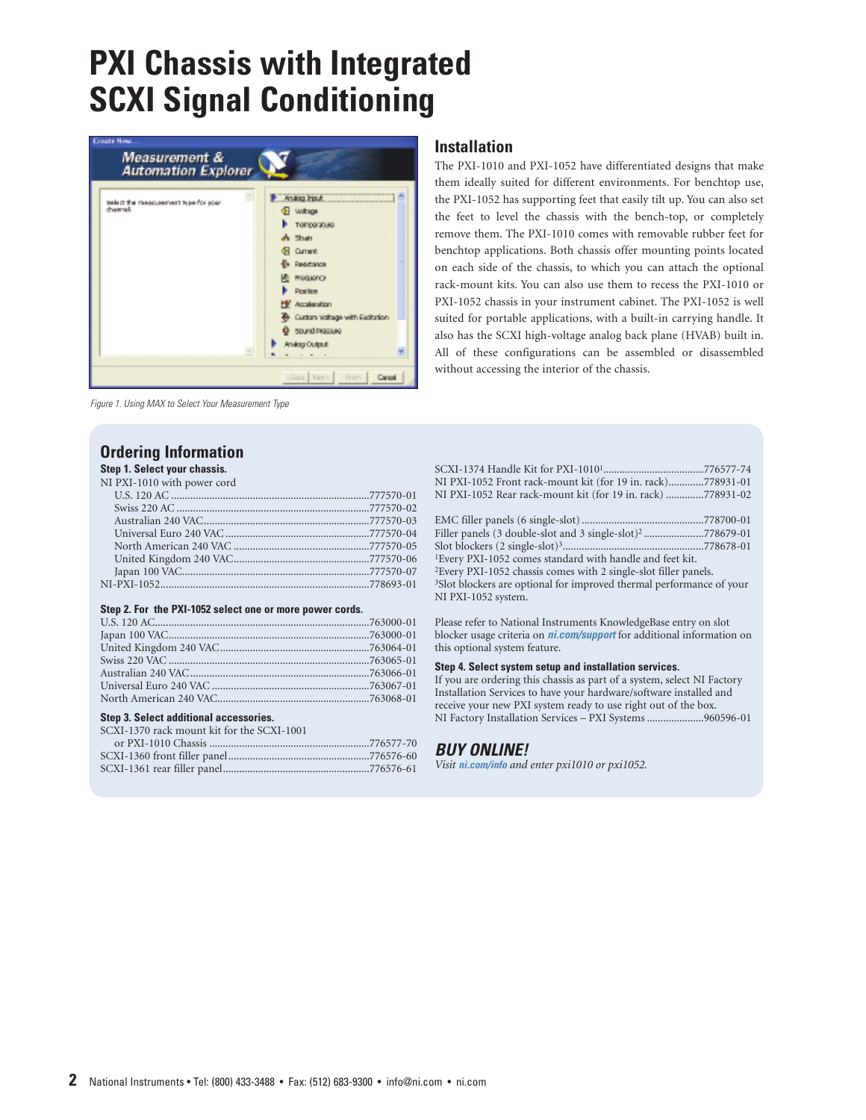

Figure 1. Using MAX to Select Your Measurement Type

## **Ordering Information**

## **Step 1. Select your chassis.**

| NI PXI-1010 with power cord |  |
|-----------------------------|--|
|                             |  |
|                             |  |
|                             |  |
|                             |  |
|                             |  |
|                             |  |
|                             |  |
|                             |  |
|                             |  |

#### **Step 2. For the PXI-1052 select one or more power cords.**

#### **Step 3. Select additional accessories.**

| SCXI-1370 rack mount kit for the SCXI-1001 |  |
|--------------------------------------------|--|
|                                            |  |
|                                            |  |

|  |  | 00 00 1000 mont micr pancromomentum communities and 10010 |  |  |
|--|--|-----------------------------------------------------------|--|--|
|  |  |                                                           |  |  |
|  |  |                                                           |  |  |

## **Installation**

The PXI-1010 and PXI-1052 have differentiated designs that make them ideally suited for different environments. For benchtop use, the PXI-1052 has supporting feet that easily tilt up. You can also set the feet to level the chassis with the bench-top, or completely remove them. The PXI-1010 comes with removable rubber feet for benchtop applications. Both chassis offer mounting points located on each side of the chassis, to which you can attach the optional rack-mount kits. You can also use them to recess the PXI-1010 or PXI-1052 chassis in your instrument cabinet. The PXI-1052 is well suited for portable applications, with a built-in carrying handle. It also has the SCXI high-voltage analog back plane (HVAB) built in. All of these configurations can be assembled or disassembled without accessing the interior of the chassis.

| NI PXI-1052 Front rack-mount kit (for 19 in. rack)778931-01                      |
|----------------------------------------------------------------------------------|
| NI PXI-1052 Rear rack-mount kit (for 19 in. rack) 778931-02                      |
|                                                                                  |
|                                                                                  |
| Filler panels (3 double-slot and 3 single-slot) <sup>2</sup> 778679-01           |
|                                                                                  |
| <sup>1</sup> Every PXI-1052 comes standard with handle and feet kit.             |
| <sup>2</sup> Every PXI-1052 chassis comes with 2 single-slot filler panels.      |
| <sup>3</sup> Slot blockers are optional for improved thermal performance of your |
| NI PXI-1052 system.                                                              |

Please refer to National Instruments KnowledgeBase entry on slot blocker usage criteria on **ni.com/support** for additional information on this optional system feature.

#### **Step 4. Select system setup and installation services.**

If you are ordering this chassis as part of a system, select NI Factory Installation Services to have your hardware/software installed and receive your new PXI system ready to use right out of the box. NI Factory Installation Services – PXI Systems .....................960596-01

### **BUY ONLINE!**

*Visit* **ni.com/info** *and enter pxi1010 or pxi1052.*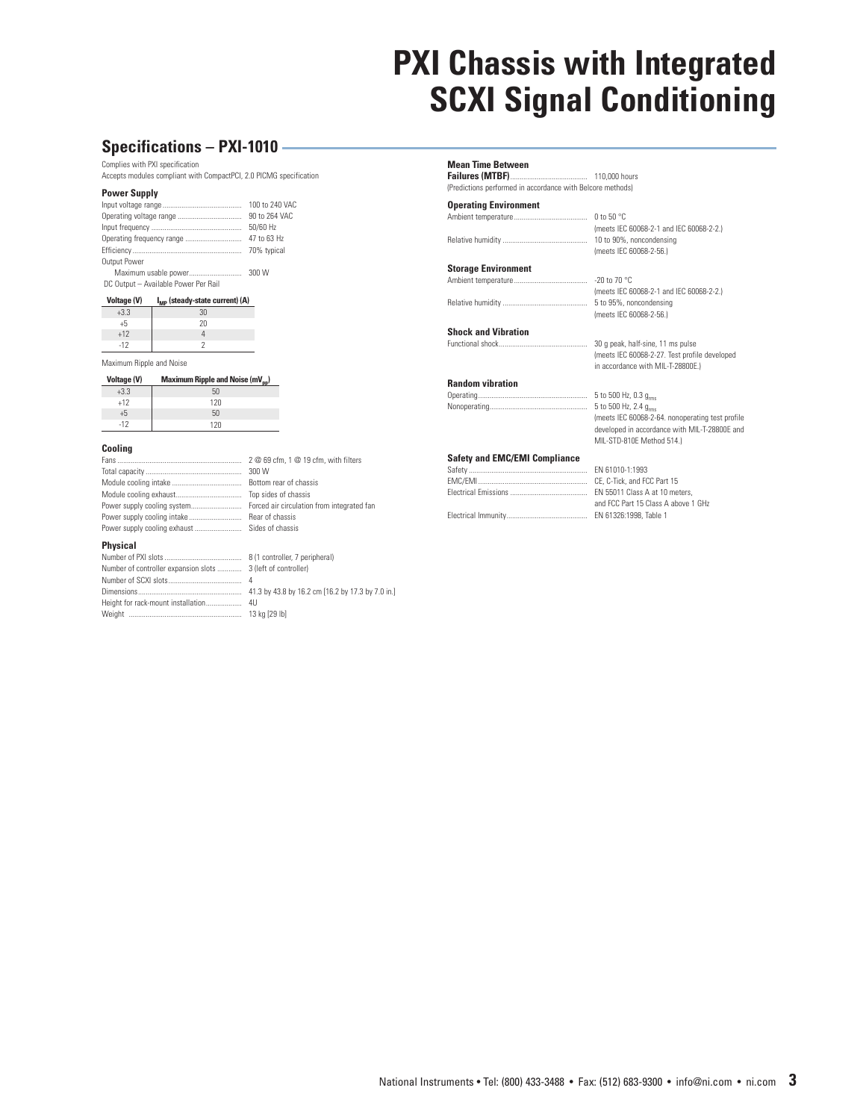## **Specifications – PXI-1010**

Complies with PXI specification

Accepts modules compliant with CompactPCI, 2.0 PICMG specification

#### **Power Supply**

|              | 100 to 240 VAC |
|--------------|----------------|
|              | 90 to 264 VAC  |
|              | 50/60 Hz       |
|              | 47 to 63 Hz    |
|              |                |
| Output Power |                |
|              |                |

|  | <b>IVIGAILIGIII GOGDIO POVVOI</b>    |  |  |
|--|--------------------------------------|--|--|
|  | DC Output - Available Power Per Rail |  |  |

| <b>Voltage (V)</b> | $I_{MP}$ (steady-state current) (A) |
|--------------------|-------------------------------------|
| $+3.3$             | 30                                  |
| +5                 | 2Π                                  |
| $-40$              |                                     |

| . T.                     |  |  |
|--------------------------|--|--|
| $-12$                    |  |  |
| Maximum Rinnle and Noise |  |  |

| <b>Voltage (V)</b> | Maximum Ripple and Noise (mV <sub>nn</sub> ) |
|--------------------|----------------------------------------------|
| $+3.3$             | 50                                           |
| $+12$              | 120                                          |
| +5                 | 50                                           |
| $-12$              | 17በ                                          |

#### **Cooling**

Fans .................................................................. 2 @ 69 cfm, 1 @ 19 cfm, with filters Total capacity................................................... 300 W Module cooling intake ..................................... Bottom rear of chassis Module cooling exhaust................................... Top sides of chassis Power supply cooling system........................... Forced air circulation from integrated fan Power supply cooling intake ............................ Rear of chassis Power supply cooling exhaust ......................... Sides of chassis

#### **Physical**

| Number of controller expansion slots  3 ( |  |
|-------------------------------------------|--|
|                                           |  |
|                                           |  |
|                                           |  |
|                                           |  |

8 (1 controller, 7 peripheral) 3 (left of controller) 41.3 by 43.8 by 16.2 cm [16.2 by 17.3 by 7.0 in.]<br>4U 13 kg [29 lb]

**Mean Time Between Failures (MTBF)**......................................... 110,000 hours

(Predictions performed in accordance with Belcore methods)

#### **Operating Environment** Ambient temperature....................................... 0 to 50 °C

Relative humidity ............................................. 10 to 90%, noncondensing

**Storage Environment**

Ambient temperature....................................... -20 to 70 °C (meets IEC 60068-2-1 and IEC 60068-2-2.) Relative humidity ............................................. 5 to 95%, noncondensing (meets IEC 60068-2-56.)

> (meets IEC 60068-2-64. nonoperating test profile developed in accordance with MIL-T-28800E and

(meets IEC 60068-2-56.)

5 to 500 Hz, 2.4  $g<sub>rms</sub>$ 

MIL-STD-810E Method 514.)

(meets IEC 60068-2-1 and IEC 60068-2-2.)

#### **Shock and Vibration**

Functional shock............................................... 30 g peak, half-sine, 11 ms pulse (meets IEC 60068-2-27. Test profile developed in accordance with MIL-T-28800E.)

## **Random vibration**

Operating.......................................................... 5 to 500 Hz, 0.3 grms

**Safety and EMC/EMI Compliance**

| FN 61010-1:1993                     |
|-------------------------------------|
| CE. C-Tick. and FCC Part 15         |
| EN 55011 Class A at 10 meters.      |
| and FCC Part 15 Class A above 1 GHz |
| EN 61326:1998. Table 1              |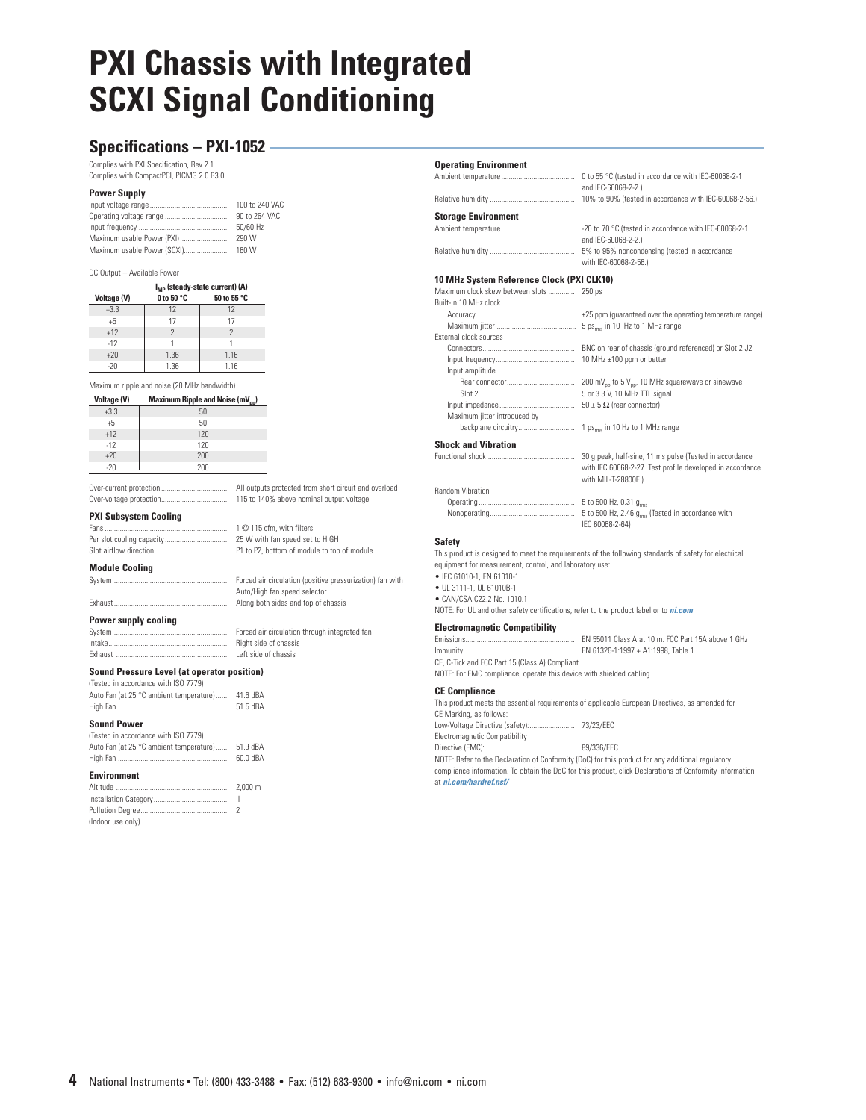## **Specifications – PXI-1052**

Complies with PXI Specification, Rev 2.1 Complies with CompactPCI, PICMG 2.0 R3.0

#### **Power Supply**

|                            | 100 to 240 VAC |
|----------------------------|----------------|
|                            | 90 to 264 VAC  |
|                            | 50/60 Hz       |
| Maximum usable Power (PXI) | 290 W          |
|                            |                |
|                            |                |

#### DC Output – Available Power

|                    |                      | $I_{MP}$ (steady-state current) (A) |
|--------------------|----------------------|-------------------------------------|
| <b>Voltage (V)</b> | 0 to 50 $^{\circ}$ C | 50 to 55 °C                         |
| $+3.3$             | 12                   | 12                                  |
| $+5$               | 17                   | 17                                  |
| $+12$              | $\mathcal{P}$        | $\mathcal{P}$                       |
| $-12$              |                      |                                     |
| $+20$              | 1.36                 | 1.16                                |
| $-20$              | 1.36                 | 1.16                                |

Maximum ripple and noise (20 MHz bandwidth)

| <b>Voltage (V)</b><br>Maximum Ripple and Noise (mV <sub>pp</sub> ) |  |
|--------------------------------------------------------------------|--|
|--------------------------------------------------------------------|--|

| $+3.3$ | 50  |
|--------|-----|
| $+5$   | 50  |
| $+12$  | 120 |
| $-12$  | 120 |
| $+20$  | 200 |
| $-20$  | 200 |

Over-current protection .................................... All outputs protected from short circuit and overload Over-voltage protection.................................... 115 to 140% above nominal output voltage

#### **PXI Subsystem Cooling**

Fans .................................................................. 1 @ 115 cfm, with filters Per slot cooling capacity.................................. 25 W with fan speed set to HIGH Slot airflow direction ....................................... P1 to P2, bottom of module to top of module

**Module Cooling**

System.............................................................. Forced air circulation (positive pressurization) fan with Auto/High fan speed selector Exhaust............................................................. Along both sides and top of chassis

#### **Power supply cooling**

System.............................................................. Forced air circulation through integrated fan Right side of chassis Exhaust ............................................................ Left side of chassis

#### **Sound Pressure Level (at operator position)**

| (Tested in accordance with ISO 7779)              |          |
|---------------------------------------------------|----------|
| Auto Fan (at 25 °C ambient temperature)  41.6 dBA |          |
|                                                   | 51.5 dBA |

#### **Sound Power**

| (Tested in accordance with ISO 7779)              |          |
|---------------------------------------------------|----------|
| Auto Fan (at 25 °C ambient temperature)  51.9 dBA |          |
|                                                   | 60.0 dBA |

#### **Environment**

| (Indoor use only) |  |
|-------------------|--|

### **Operating Environment**

|                            | 0 to 55 °C (tested in accordance with IEC-60068-2-1<br>and IEC-60068-2-2.)   |
|----------------------------|------------------------------------------------------------------------------|
|                            |                                                                              |
| <b>Storage Environment</b> |                                                                              |
|                            | -20 to 70 °C (tested in accordance with IEC-60068-2-1<br>and IEC-60068-2-2.) |
|                            | 5% to 95% noncondensing (tested in accordance<br>with IFC-60068-2-56 \       |

#### **10 MHz System Reference Clock (PXI CLK10)**

Maximum clock skew between slots .............. 250 ps

| Built-in 10 MHz clock        |                                                                           |
|------------------------------|---------------------------------------------------------------------------|
|                              | ±25 ppm (quaranteed over the operating temperature range)                 |
|                              | 5 ps. in 10 Hz to 1 MHz range                                             |
| External clock sources       |                                                                           |
|                              | BNC on rear of chassis (ground referenced) or Slot 2 J2                   |
|                              |                                                                           |
| Input amplitude              |                                                                           |
|                              | 200 mV <sub>pp</sub> to 5 V <sub>pp</sub> , 10 MHz squarewave or sinewave |
|                              | 5 or 3.3 V. 10 MHz TTL signal                                             |
|                              | $50 \pm 5 \Omega$ (rear connector)                                        |
| Maximum jitter introduced by |                                                                           |
|                              |                                                                           |
| <b>Shock and Vibration</b>   |                                                                           |
|                              |                                                                           |

Random Vibration

with IEC 60068-2-27. Test profile developed in accordance with MIL-T-28800F.)

Operating ................................................... 5 to 500 Hz, 0.31 grms 5 to 500 Hz, 2.46 g<sub>rms</sub> (Tested in accordance with IEC 60068-2-64)

#### **Safety**

This product is designed to meet the requirements of the following standards of safety for electrical equipment for measurement, control, and laboratory use:

- IEC 61010-1, EN 61010-1
- UL 3111-1, UL 61010B-1 • CAN/CSA C22.2 No. 1010.1

NOTE: For UL and other safety certifications, refer to the product label or to **ni.com**

#### **Electromagnetic Compatibility**

Emissions.......................................................... EN 55011 Class A at 10 m. FCC Part 15A above 1 GHz Immunity........................................................... EN 61326-1:1997 + A1:1998, Table 1

CE, C-Tick and FCC Part 15 (Class A) Compliant

NOTE: For EMC compliance, operate this device with shielded cabling.

#### **CE Compliance**

This product meets the essential requirements of applicable European Directives, as amended for CE Marking, as follows: Low-Voltage Directive (safety):........................ 73/23/EEC

Electromagnetic Compatibility Directive (EMC): ............................................... 89/336/EEC

NOTE: Refer to the Declaration of Conformity (DoC) for this product for any additional regulatory compliance information. To obtain the DoC for this product, click Declarations of Conformity Information at **ni.com/hardref.nsf/**